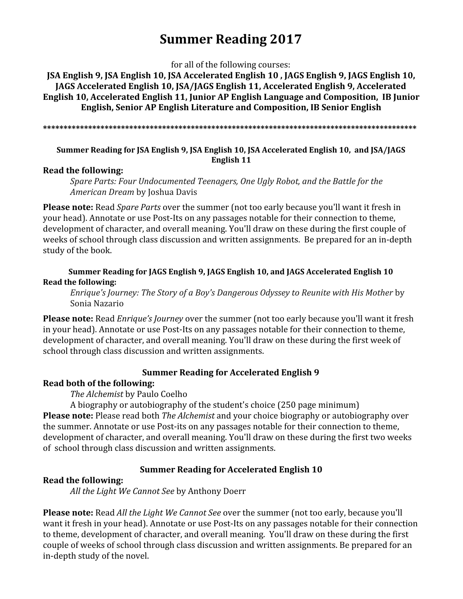# **Summer Reading 2017**

for all of the following courses:

**JSA English 9, JSA English 10, JSA Accelerated English 10 , JAGS English 9, JAGS English 10, JAGS Accelerated English 10, JSA/JAGS English 11, Accelerated English 9, Accelerated English 10, Accelerated English 11, Junior AP English Language and Composition, IB Junior English, Senior AP English Literature and Composition, IB Senior English**

**\*\*\*\*\*\*\*\*\*\*\*\*\*\*\*\*\*\*\*\*\*\*\*\*\*\*\*\*\*\*\*\*\*\*\*\*\*\*\*\*\*\*\*\*\*\*\*\*\*\*\*\*\*\*\*\*\*\*\*\*\*\*\*\*\*\*\*\*\*\*\*\*\*\*\*\*\*\*\*\*\*\*\*\*\*\*\*\*\*\*\***

## **Summer Reading for JSA English 9, JSA English 10, JSA Accelerated English 10, and JSA/JAGS English 11**

## **Read the following:**

*Spare Parts: Four Undocumented Teenagers, One Ugly Robot, and the Battle for the American Dream* by Joshua Davis

**Please note:** Read *Spare Parts* over the summer (not too early because you'll want it fresh in your head). Annotate or use Post-Its on any passages notable for their connection to theme, development of character, and overall meaning. You'll draw on these during the first couple of weeks of school through class discussion and written assignments. Be prepared for an in-depth study of the book.

## **Summer Reading for JAGS English 9, JAGS English 10, and JAGS Accelerated English 10 Read the following:**

*Enrique's Journey: The Story of a Boy's Dangerous Odyssey to Reunite with His Mother* by Sonia Nazario

**Please note:** Read *Enrique's Journey* over the summer (not too early because you'll want it fresh in your head). Annotate or use Post-Its on any passages notable for their connection to theme, development of character, and overall meaning. You'll draw on these during the first week of school through class discussion and written assignments.

## **Summer Reading for Accelerated English 9**

## **Read both of the following:**

*The Alchemist* by Paulo Coelho

A biography or autobiography of the student's choice (250 page minimum) **Please note:** Please read both *The Alchemist* and your choice biography or autobiography over the summer. Annotate or use Post-its on any passages notable for their connection to theme, development of character, and overall meaning. You'll draw on these during the first two weeks of school through class discussion and written assignments.

## **Summer Reading for Accelerated English 10**

## **Read the following:**

*All the Light We Cannot See* by [Anthony](http://www.amazon.com/Anthony-Doerr/e/B000APOX62/ref=sr_ntt_srch_lnk_1?qid=1460743436&sr=1-1) Doerr

**Please note:** Read *All the Light We Cannot See* over the summer (not too early, because you'll want it fresh in your head). Annotate or use Post-Its on any passages notable for their connection to theme, development of character, and overall meaning. You'll draw on these during the first couple of weeks of school through class discussion and written assignments. Be prepared for an in-depth study of the novel.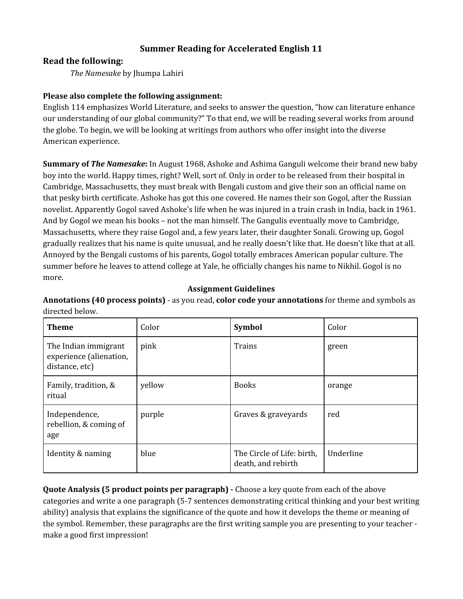## **Summer Reading for Accelerated English 11**

### **Read the following:**

*The Namesake* by Jhumpa Lahiri

#### **Please also complete the following assignment:**

English 114 emphasizes World Literature, and seeks to answer the question, "how can literature enhance our understanding of our global community?" To that end, we will be reading several works from around the globe. To begin, we will be looking at writings from authors who offer insight into the diverse American experience.

**Summary of** *The Namesake***:** In August 1968, Ashoke and Ashima Ganguli welcome their brand new baby boy into the world. Happy times, right? Well, sort of. Only in order to be released from their hospital in Cambridge, Massachusetts, they must break with Bengali custom and give their son an official name on that pesky birth certificate. Ashoke has got this one covered. He names their son Gogol, after the Russian novelist. Apparently Gogol saved Ashoke's life when he was injured in a train crash in India, back in 1961. And by Gogol we mean his books – not the man himself. The Gangulis eventually move to Cambridge, Massachusetts, where they raise Gogol and, a few years later, their daughter Sonali. Growing up, Gogol gradually realizes that his name is quite unusual, and he really doesn't like that. He doesn't like that at all. Annoyed by the Bengali customs of his parents, Gogol totally embraces American popular culture. The summer before he leaves to attend college at Yale, he officially changes his name to Nikhil. Gogol is no more.

#### **Assignment Guidelines**

**Annotations (40 process points)** - as you read, **color code your annotations** for theme and symbols as directed below.

| <b>Theme</b>                                                      | Color  | <b>Symbol</b>                                    | Color     |
|-------------------------------------------------------------------|--------|--------------------------------------------------|-----------|
| The Indian immigrant<br>experience (alienation,<br>distance, etc) | pink   | Trains                                           | green     |
| Family, tradition, &<br>ritual                                    | yellow | <b>Books</b>                                     | orange    |
| Independence,<br>rebellion, & coming of<br>age                    | purple | Graves & graveyards                              | red       |
| Identity & naming                                                 | blue   | The Circle of Life: birth,<br>death, and rebirth | Underline |

**Quote Analysis (5 product points per paragraph) -** Choose a key quote from each of the above categories and write a one paragraph (5-7 sentences demonstrating critical thinking and your best writing ability) analysis that explains the significance of the quote and how it develops the theme or meaning of the symbol. Remember, these paragraphs are the first writing sample you are presenting to your teacher make a good first impression!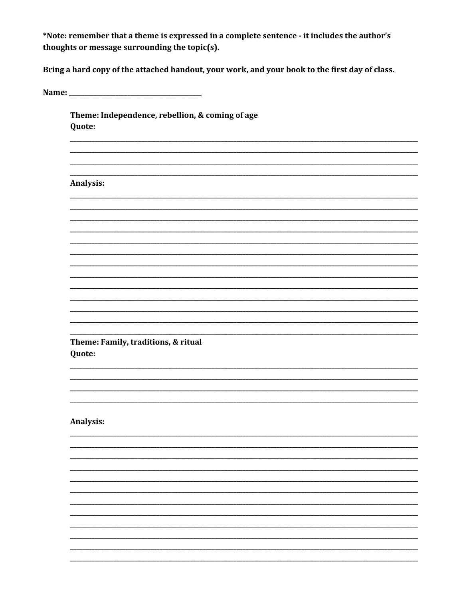\*Note: remember that a theme is expressed in a complete sentence - it includes the author's thoughts or message surrounding the topic(s).

Bring a hard copy of the attached handout, your work, and your book to the first day of class.

Theme: Independence, rebellion, & coming of age Quote:

**Analysis:** 

Theme: Family, traditions, & ritual Quote:

**Analysis:**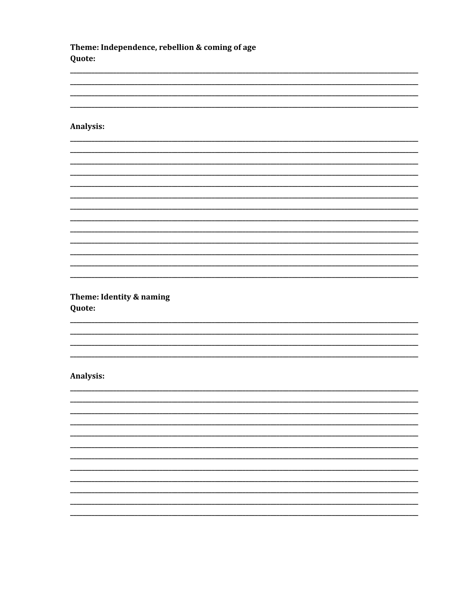Theme: Independence, rebellion & coming of age Quote:

#### Analysis:

\_\_\_\_\_\_\_\_\_

Theme: Identity & naming Quote:

#### **Analysis:**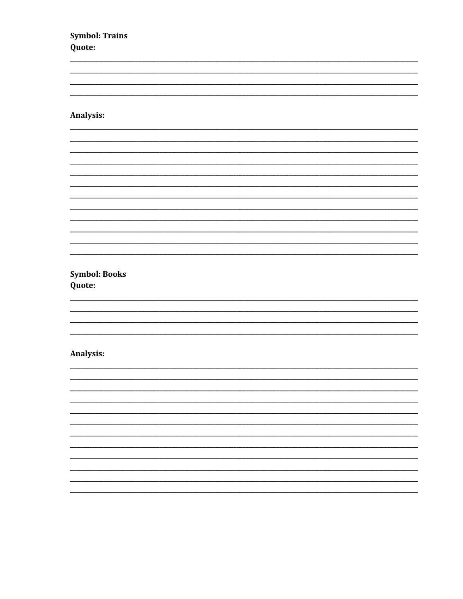**Symbol: Trains** Quote:

### Analysis:

 $\overline{\phantom{a}}$ 

**Symbol: Books** Quote:

#### Analysis:

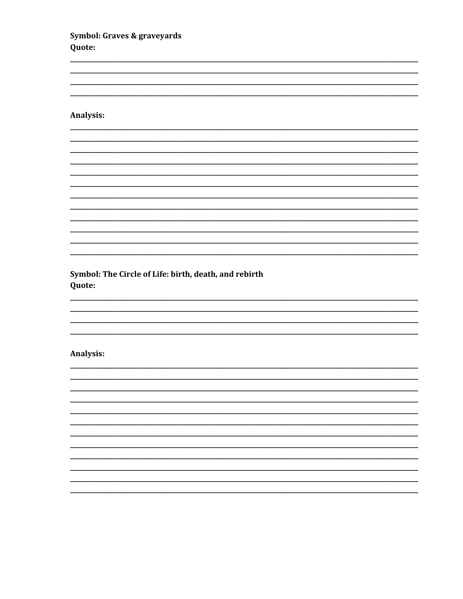Symbol: Graves & graveyards Quote:

#### Analysis:

 $\overline{\phantom{a}}$ 

Symbol: The Circle of Life: birth, death, and rebirth Quote:

#### Analysis:

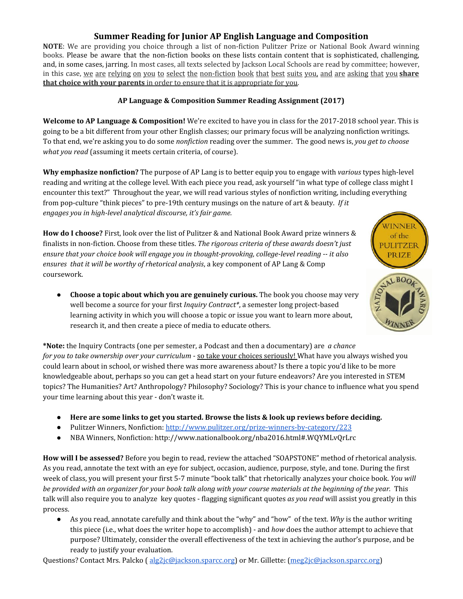## **Summer Reading for Junior AP English Language and Composition**

**NOTE**: We are providing you choice through a list of non-fiction Pulitzer Prize or National Book Award winning books. Please be aware that the non-fiction books on these lists contain content that is sophisticated, challenging, and, in some cases, jarring. In most cases, all texts selected by Jackson Local Schools are read by committee; however, in this case, we are relying on you to select the non-fiction book that best suits you, and are asking that you **share that choice with your parents** in order to ensure that it is appropriate for you.

#### **AP Language & Composition Summer Reading Assignment (2017)**

**Welcome to AP Language & Composition!** We're excited to have you in class for the 2017-2018 school year. This is going to be a bit different from your other English classes; our primary focus will be analyzing nonfiction writings. To that end, we're asking you to do some *nonfiction* reading over the summer. The good news is, *you get to choose what you read* (assuming it meets certain criteria, of course).

**Why emphasize nonfiction?** The purpose of AP Lang is to better equip you to engage with *various* types high-level reading and writing at the college level. With each piece you read, ask yourself "in what type of college class might I encounter this text?" Throughout the year, we will read various styles of nonfiction writing, including everything from pop-culture "think pieces" to pre-19th century musings on the nature of art & beauty. *If it engages you in high-level analytical discourse, it's fair game.*

WINNER of the ULITZER **PRIZE** LBO<sub>O</sub>

**How do I choose?** First, look over the list of Pulitzer & and National Book Award prize winners & finalists in non-fiction. Choose from these titles. *The rigorous criteria of these awards doesn't just ensure that your choice book will engage you in thought-provoking, college-level reading -- it also ensures that it will be worthy of rhetorical analysis*, a key component of AP Lang & Comp coursework.

● **Choose a topic about which you are genuinely curious.** The book you choose may very well become a source for your first *Inquiry Contract\**, a semester long project-based learning activity in which you will choose a topic or issue you want to learn more about, research it, and then create a piece of media to educate others.

**\*Note:** the Inquiry Contracts (one per semester, a Podcast and then a documentary) are *a chance for you to take ownership over your curriculum* - so take your choices seriously! What have you always wished you could learn about in school, or wished there was more awareness about? Is there a topic you'd like to be more knowledgeable about, perhaps so you can get a head start on your future endeavors? Are you interested in STEM topics? The Humanities? Art? Anthropology? Philosophy? Sociology? This is your chance to influence what you spend your time learning about this year - don't waste it.

- **● Here are some links to get you started. Browse the lists & look up reviews before deciding.**
- **●** Pulitzer Winners, Nonfiction: <http://www.pulitzer.org/prize-winners-by-category/223>
- NBA Winners, Nonfiction: http://www.nationalbook.org/nba2016.html#.WQYMLvQrLrc

**How will I be assessed?** Before you begin to read, review the attached "SOAPSTONE" method of rhetorical analysis. As you read, annotate the text with an eye for subject, occasion, audience, purpose, style, and tone. During the first week of class, you will present your first 5-7 minute "book talk" that rhetorically analyzes your choice book. *You will* be provided with an organizer for your book talk along with your course materials at the beginning of the year. This talk will also require you to analyze key quotes - flagging significant quotes *as you read* will assist you greatly in this process.

● As you read, annotate carefully and think about the "why" and "how" of the text. *Why* is the author writing this piece (i.e., what does the writer hope to accomplish) - and *how* does the author attempt to achieve that purpose? Ultimately, consider the overall effectiveness of the text in achieving the author's purpose, and be ready to justify your evaluation.

Questions? Contact Mrs. Palcko ( [alg2jc@jackson.sparcc.org](mailto:alg2jc@jackson.sparcc.org)) or Mr. Gillette: [\(meg2jc@jackson.sparcc.org](mailto:meg2jc@jackson.sparcc.org))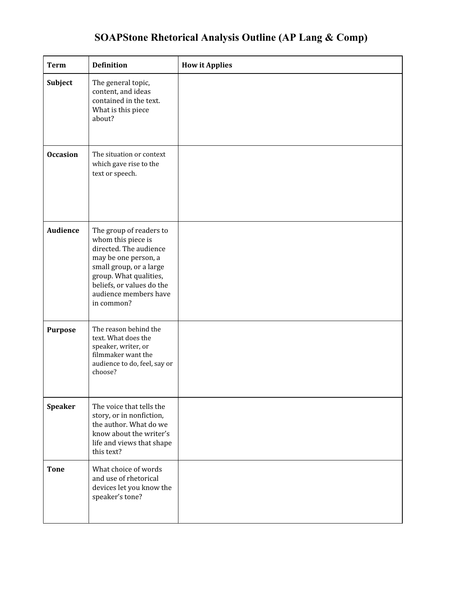## **SOAPStone Rhetorical Analysis Outline (AP Lang & Comp)**

| Term            | <b>Definition</b>                                                                                                                                                                                                        | <b>How it Applies</b> |
|-----------------|--------------------------------------------------------------------------------------------------------------------------------------------------------------------------------------------------------------------------|-----------------------|
| Subject         | The general topic,<br>content, and ideas<br>contained in the text.<br>What is this piece<br>about?                                                                                                                       |                       |
| <b>Occasion</b> | The situation or context<br>which gave rise to the<br>text or speech.                                                                                                                                                    |                       |
| <b>Audience</b> | The group of readers to<br>whom this piece is<br>directed. The audience<br>may be one person, a<br>small group, or a large<br>group. What qualities,<br>beliefs, or values do the<br>audience members have<br>in common? |                       |
| <b>Purpose</b>  | The reason behind the<br>text. What does the<br>speaker, writer, or<br>filmmaker want the<br>audience to do, feel, say or<br>choose?                                                                                     |                       |
| <b>Speaker</b>  | The voice that tells the<br>story, or in nonfiction,<br>the author. What do we<br>know about the writer's<br>life and views that shape<br>this text?                                                                     |                       |
| <b>Tone</b>     | What choice of words<br>and use of rhetorical<br>devices let you know the<br>speaker's tone?                                                                                                                             |                       |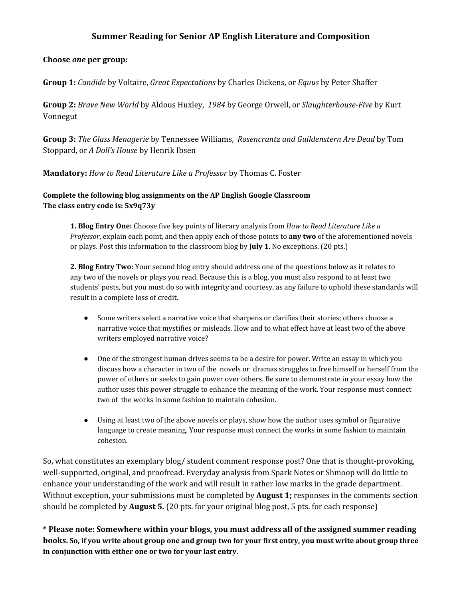### **Summer Reading for Senior AP English Literature and Composition**

#### **Choose** *one* **per group:**

**Group 1:** *Candide* by Voltaire, *Great Expectations* by Charles Dickens, or *Equus* by Peter Shaffer

**Group 2:** *Brave New World* by Aldous Huxley, *1984* by George Orwell, or *Slaughterhouse-Five* by Kurt Vonnegut

**Group 3:** *The Glass Menagerie* by Tennessee Williams, *Rosencrantz and Guildenstern Are Dead* by Tom Stoppard, or *A Doll's House* by Henrik Ibsen

**Mandatory:** *How to Read Literature Like a Professor* by Thomas C. Foster

#### **Complete the following blog assignments on the AP English Google Classroom The class entry code is: 5x9q73y**

**1. Blog Entry One:** Choose five key points of literary analysis from *How to Read Literature Like a Professor*, explain each point, and then apply each of those points to **any two** of the aforementioned novels or plays. Post this information to the classroom blog by **July 1**. No exceptions. (20 pts.)

**2. Blog Entry Two:** Your second blog entry should address one of the questions below as it relates to any two of the novels or plays you read. Because this is a blog, you must also respond to at least two students' posts, but you must do so with integrity and courtesy, as any failure to uphold these standards will result in a complete loss of credit.

- Some writers select a narrative voice that sharpens or clarifies their stories; others choose a narrative voice that mystifies or misleads. How and to what effect have at least two of the above writers employed narrative voice?
- One of the strongest human drives seems to be a desire for power. Write an essay in which you discuss how a character in two of the novels or dramas struggles to free himself or herself from the power of others or seeks to gain power over others. Be sure to demonstrate in your essay how the author uses this power struggle to enhance the meaning of the work. Your response must connect two of the works in some fashion to maintain cohesion.
- Using at least two of the above novels or plays, show how the author uses symbol or figurative language to create meaning. Your response must connect the works in some fashion to maintain cohesion.

So, what constitutes an exemplary blog/ student comment response post? One that is thought-provoking, well-supported, original, and proofread. Everyday analysis from Spark Notes or Shmoop will do little to enhance your understanding of the work and will result in rather low marks in the grade department. Without exception, your submissions must be completed by **August 1;** responses in the comments section should be completed by **August 5.** (20 pts. for your original blog post, 5 pts. for each response)

**\* Please note: Somewhere within your blogs, you must address all of the assigned summer reading** books. So, if you write about group one and group two for your first entry, you must write about group three **in conjunction with either one or two for your last entry.**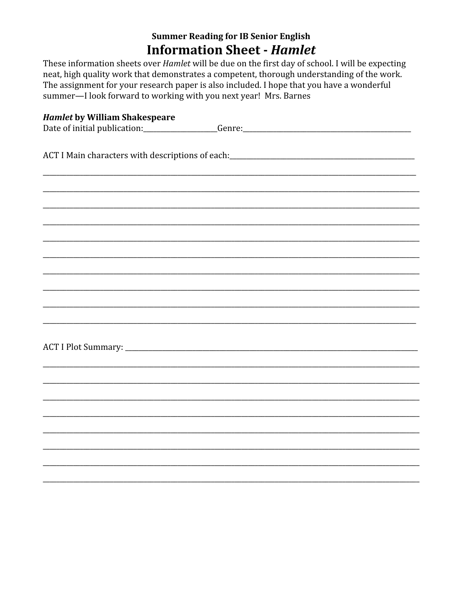## **Summer Reading for IB Senior English Information Sheet - Hamlet**

These information sheets over *Hamlet* will be due on the first day of school. I will be expecting neat, high quality work that demonstrates a competent, thorough understanding of the work. The assignment for your research paper is also included. I hope that you have a wonderful summer-I look forward to working with you next year! Mrs. Barnes

| <b>Hamlet by William Shakespeare</b>  |
|---------------------------------------|
| Date of initial publication: ________ |
|                                       |
|                                       |
|                                       |
|                                       |
|                                       |
|                                       |
|                                       |
|                                       |
|                                       |
|                                       |
|                                       |
|                                       |
|                                       |
|                                       |
|                                       |
|                                       |
|                                       |
|                                       |
|                                       |
|                                       |
|                                       |
|                                       |
|                                       |
|                                       |
|                                       |
|                                       |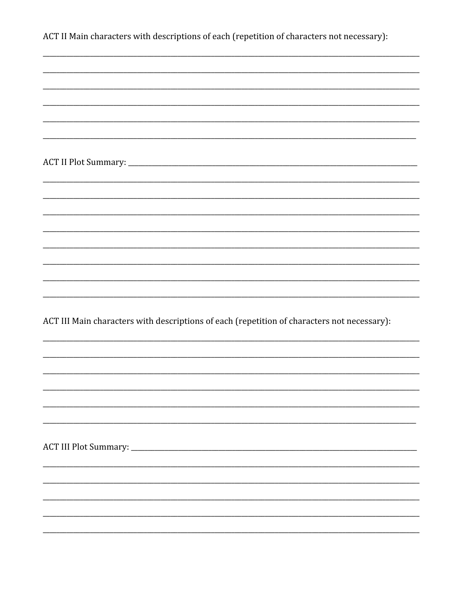| ACT II Main characters with descriptions of each (repetition of characters not necessary):  |
|---------------------------------------------------------------------------------------------|
|                                                                                             |
|                                                                                             |
|                                                                                             |
|                                                                                             |
|                                                                                             |
|                                                                                             |
|                                                                                             |
|                                                                                             |
|                                                                                             |
|                                                                                             |
|                                                                                             |
|                                                                                             |
|                                                                                             |
|                                                                                             |
|                                                                                             |
| ACT III Main characters with descriptions of each (repetition of characters not necessary): |
|                                                                                             |
|                                                                                             |
|                                                                                             |
|                                                                                             |
|                                                                                             |
|                                                                                             |
|                                                                                             |
|                                                                                             |
|                                                                                             |
|                                                                                             |
|                                                                                             |
|                                                                                             |
|                                                                                             |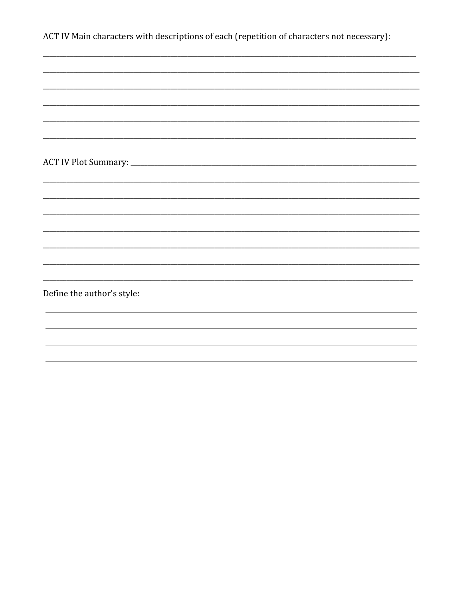| ACT IV Main characters with descriptions of each (repetition of characters not necessary): |  |
|--------------------------------------------------------------------------------------------|--|
|--------------------------------------------------------------------------------------------|--|

| Define the author's style: |  |  |
|----------------------------|--|--|
|                            |  |  |
|                            |  |  |
|                            |  |  |
|                            |  |  |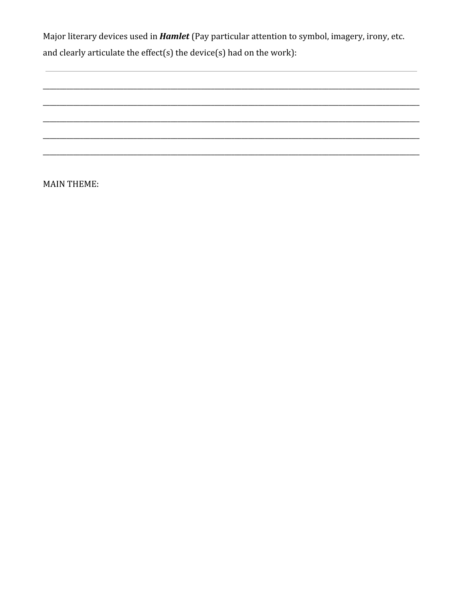Major literary devices used in *Hamlet* (Pay particular attention to symbol, imagery, irony, etc. and clearly articulate the effect(s) the device(s) had on the work):

**MAIN THEME:**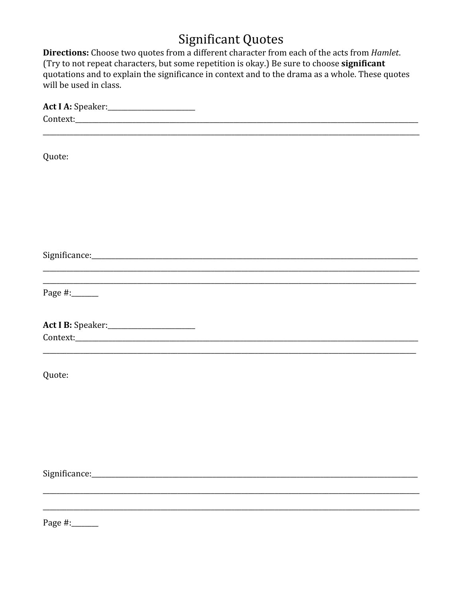# **Significant Quotes**

Directions: Choose two quotes from a different character from each of the acts from *Hamlet*. (Try to not repeat characters, but some repetition is okay.) Be sure to choose significant quotations and to explain the significance in context and to the drama as a whole. These quotes will be used in class.

| Act I A: Speaker: 1997-1998 |
|-----------------------------|
|                             |
|                             |
|                             |
| Quote:                      |
|                             |
|                             |
|                             |
|                             |
|                             |
|                             |
|                             |
|                             |
|                             |
|                             |
|                             |
| Page #:______               |
|                             |
|                             |
| Act I B: Speaker:           |
|                             |
|                             |
|                             |
| Quote:                      |
|                             |
|                             |
|                             |
|                             |
|                             |
|                             |
|                             |
|                             |
|                             |
|                             |
|                             |
|                             |
| Page #:_______              |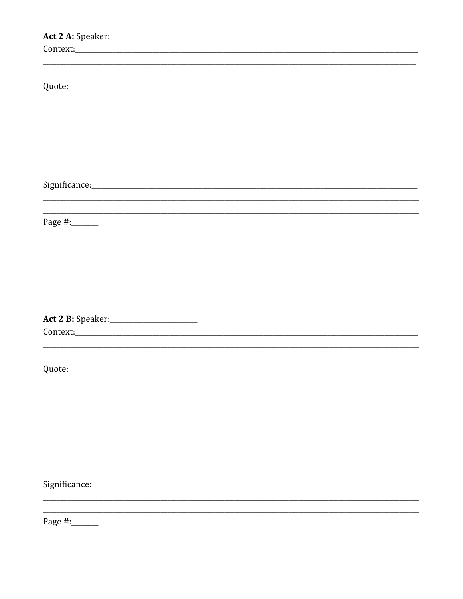Act 2 A: Speaker: \_\_\_\_\_\_\_\_\_\_\_\_\_\_\_\_\_\_\_\_\_\_\_ Quote: Page #:\_\_\_\_\_\_\_ Quote:

Page #:\_\_\_\_\_\_\_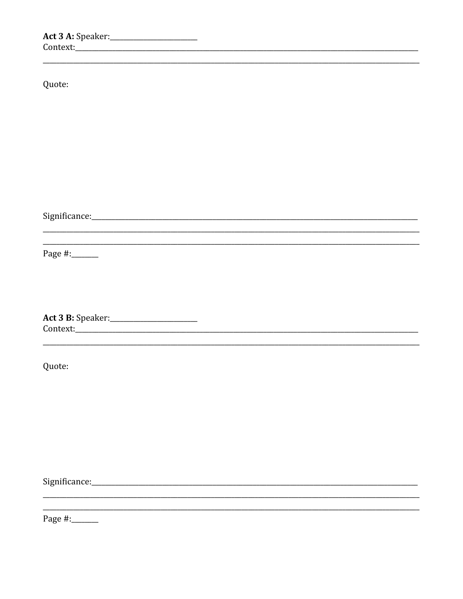| Quote:         |  |
|----------------|--|
|                |  |
|                |  |
|                |  |
|                |  |
|                |  |
|                |  |
|                |  |
|                |  |
|                |  |
|                |  |
|                |  |
|                |  |
|                |  |
|                |  |
| Page #:_______ |  |
|                |  |
|                |  |
|                |  |
|                |  |
|                |  |
|                |  |
|                |  |
|                |  |
|                |  |
| Quote:         |  |
|                |  |
|                |  |
|                |  |
|                |  |
|                |  |
|                |  |
|                |  |
|                |  |
|                |  |
|                |  |

Page #:\_\_\_\_\_\_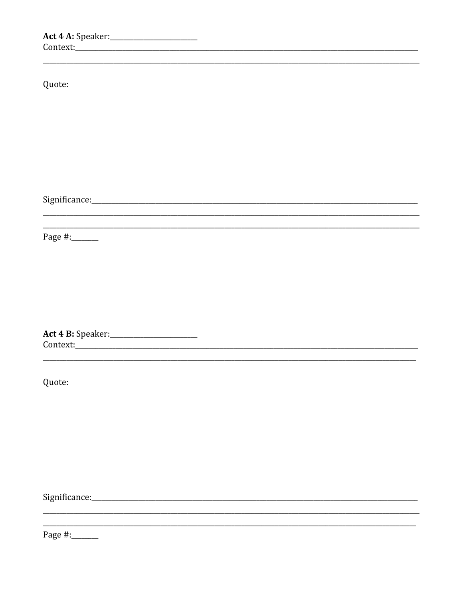| Quote:         |  |  |
|----------------|--|--|
|                |  |  |
|                |  |  |
|                |  |  |
|                |  |  |
|                |  |  |
|                |  |  |
|                |  |  |
| Page #:_______ |  |  |
|                |  |  |

Act 4 B: Speaker: \_\_\_\_\_\_\_\_\_\_\_\_\_\_\_\_\_\_\_\_\_\_\_ 

Quote:

Page #:\_\_\_\_\_\_\_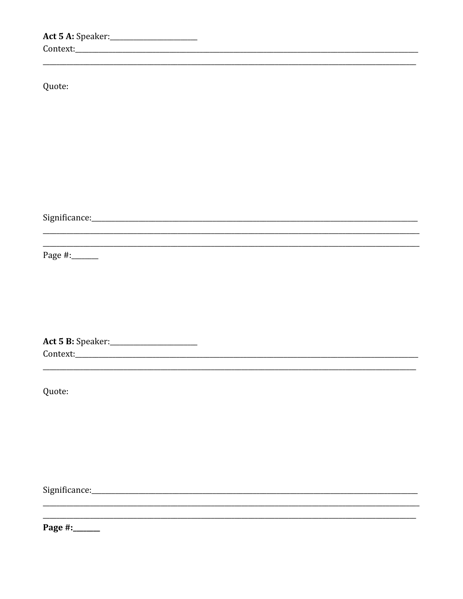| Quote:                                     |  |  |
|--------------------------------------------|--|--|
|                                            |  |  |
|                                            |  |  |
|                                            |  |  |
|                                            |  |  |
|                                            |  |  |
|                                            |  |  |
|                                            |  |  |
|                                            |  |  |
|                                            |  |  |
|                                            |  |  |
|                                            |  |  |
|                                            |  |  |
| Page #:______                              |  |  |
|                                            |  |  |
|                                            |  |  |
|                                            |  |  |
|                                            |  |  |
|                                            |  |  |
|                                            |  |  |
| Act 5 B: Speaker: ________________________ |  |  |
|                                            |  |  |
|                                            |  |  |
|                                            |  |  |
| Quote:                                     |  |  |
|                                            |  |  |
|                                            |  |  |
|                                            |  |  |
|                                            |  |  |
|                                            |  |  |
|                                            |  |  |
|                                            |  |  |
|                                            |  |  |
|                                            |  |  |
|                                            |  |  |
| Page #:_____                               |  |  |
|                                            |  |  |
|                                            |  |  |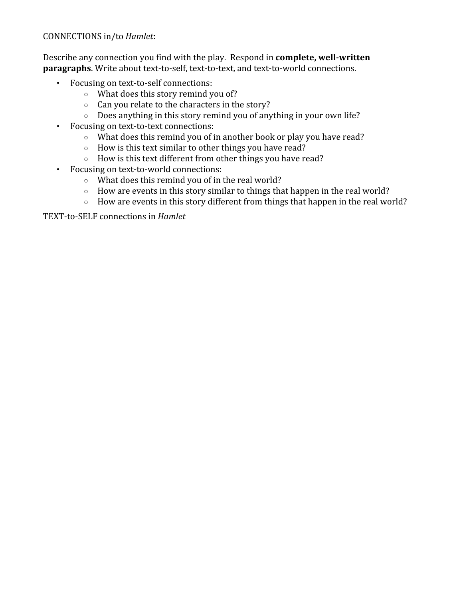## CONNECTIONS in/to *Hamlet*:

Describe any connection you find with the play. Respond in **complete, well-written paragraphs**. Write about text-to-self, text-to-text, and text-to-world connections.

- Focusing on text-to-self connections:
	- What does this story remind you of?
	- Can you relate to the characters in the story?
	- Does anything in this story remind you of anything in your own life?
- Focusing on text-to-text connections:
	- What does this remind you of in another book or play you have read?
	- How is this text similar to other things you have read?
	- How is this text different from other things you have read?
- Focusing on text-to-world connections:
	- What does this remind you of in the real world?
	- How are events in this story similar to things that happen in the real world?
	- How are events in this story different from things that happen in the real world?

TEXT-to-SELF connections in *Hamlet*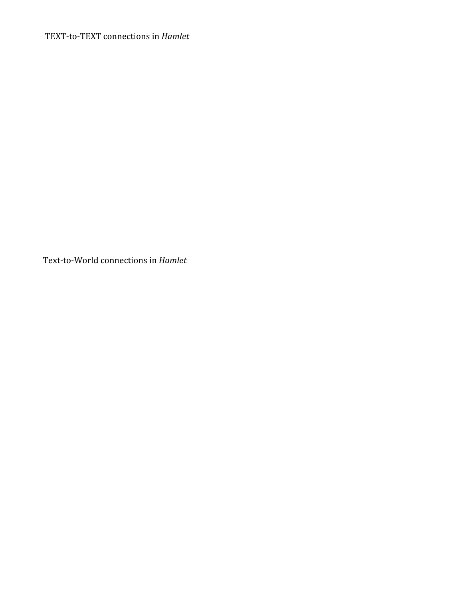TEXT-to-TEXT connections in *Hamlet*

Text-to-World connections in *Hamlet*